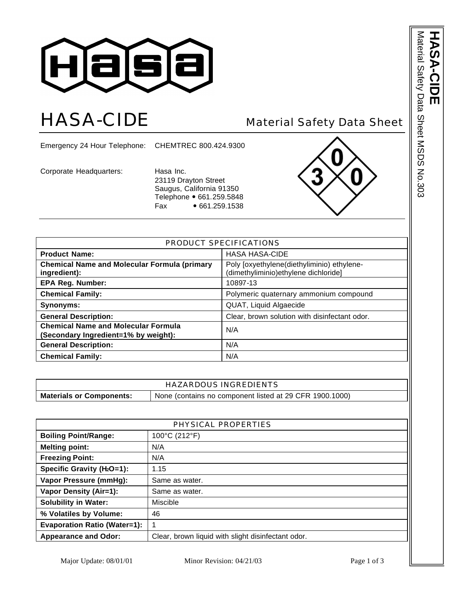

## HASA-CIDE Material Safety Data Sheet

Emergency 24 Hour Telephone: CHEMTREC 800.424.9300

Corporate Headquarters: Hasa Inc.

23119 Drayton Street Saugus, California 91350 Telephone • 661.259.5848 Fax • 661.259.1538



| PRODUCT SPECIFICATIONS                                                             |                                                                                     |  |
|------------------------------------------------------------------------------------|-------------------------------------------------------------------------------------|--|
| <b>Product Name:</b>                                                               | <b>HASA HASA-CIDE</b>                                                               |  |
| <b>Chemical Name and Molecular Formula (primary</b><br>ingredient):                | Poly [oxyethylene(diethyliminio) ethylene-<br>(dimethyliminio) ethylene dichloride] |  |
| <b>EPA Reg. Number:</b>                                                            | 10897-13                                                                            |  |
| <b>Chemical Family:</b>                                                            | Polymeric quaternary ammonium compound                                              |  |
| Synonyms:                                                                          | QUAT, Liquid Algaecide                                                              |  |
| <b>General Description:</b>                                                        | Clear, brown solution with disinfectant odor.                                       |  |
| <b>Chemical Name and Molecular Formula</b><br>(Secondary Ingredient=1% by weight): | N/A                                                                                 |  |
| <b>General Description:</b>                                                        | N/A                                                                                 |  |
| <b>Chemical Family:</b>                                                            | N/A                                                                                 |  |

| <b>HAZARDOUS INGREDIENTS</b>                                                               |  |
|--------------------------------------------------------------------------------------------|--|
| None (contains no component listed at 29 CFR 1900.1000)<br><b>Materials or Components:</b> |  |

| PHYSICAL PROPERTIES                    |                                                    |
|----------------------------------------|----------------------------------------------------|
| <b>Boiling Point/Range:</b>            | 100°C (212°F)                                      |
| <b>Melting point:</b>                  | N/A                                                |
| <b>Freezing Point:</b>                 | N/A                                                |
| Specific Gravity (H <sub>2</sub> O=1): | 1.15                                               |
| Vapor Pressure (mmHg):                 | Same as water.                                     |
| Vapor Density (Air=1):                 | Same as water.                                     |
| <b>Solubility in Water:</b>            | Miscible                                           |
| % Volatiles by Volume:                 | 46                                                 |
| <b>Evaporation Ratio (Water=1):</b>    | 1                                                  |
| <b>Appearance and Odor:</b>            | Clear, brown liquid with slight disinfectant odor. |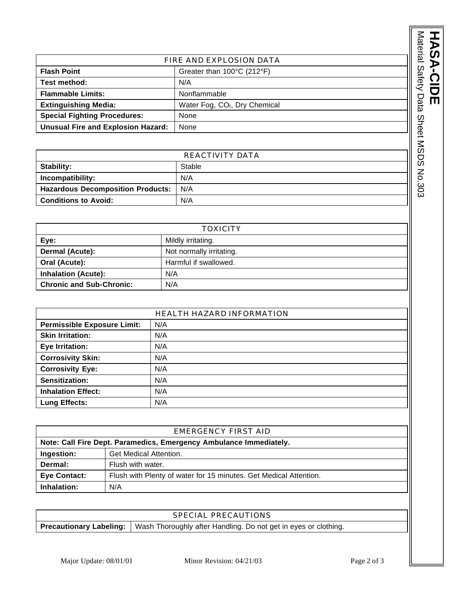|                                                                                                                                                                                                                               |                                           | Material   |
|-------------------------------------------------------------------------------------------------------------------------------------------------------------------------------------------------------------------------------|-------------------------------------------|------------|
|                                                                                                                                                                                                                               | FIRE AND EXPLOSION DATA                   |            |
| <b>Flash Point</b>                                                                                                                                                                                                            | Greater than 100°C (212°F)                | Safety     |
| Test method:                                                                                                                                                                                                                  | N/A                                       |            |
| <b>Flammable Limits:</b>                                                                                                                                                                                                      | Nonflammable                              |            |
| <b>Extinguishing Media:</b>                                                                                                                                                                                                   | Water Fog, CO <sub>2</sub> , Dry Chemical | Data       |
| <b>Special Fighting Procedures:</b>                                                                                                                                                                                           | None                                      |            |
| <b>Unusual Fire and Explosion Hazard:</b><br>None                                                                                                                                                                             |                                           |            |
|                                                                                                                                                                                                                               |                                           | Sheet MSDS |
|                                                                                                                                                                                                                               | REACTIVITY DATA                           |            |
| Stability:                                                                                                                                                                                                                    | Stable                                    |            |
| Incompatibility:                                                                                                                                                                                                              | N/A                                       |            |
| <b>Hazardous Decomposition Products:</b>                                                                                                                                                                                      | N/A                                       | No.303     |
| Associated a series of a final state of the series of the series of the series of the series of the series of the series of the series of the series of the series of the series of the series of the series of the series of | <b>AI/A</b>                               |            |

| REACTIVITY DATA                          |        |
|------------------------------------------|--------|
| Stability:                               | Stable |
| Incompatibility:                         | N/A    |
| <b>Hazardous Decomposition Products:</b> | N/A    |
| <b>Conditions to Avoid:</b>              | N/A    |

| <b>TOXICITY</b>                 |                          |
|---------------------------------|--------------------------|
| Eye:                            | Mildly irritating.       |
| Dermal (Acute):                 | Not normally irritating. |
| Oral (Acute):                   | Harmful if swallowed.    |
| <b>Inhalation (Acute):</b>      | N/A                      |
| <b>Chronic and Sub-Chronic:</b> | N/A                      |

| <b>HEALTH HAZARD INFORMATION</b>   |     |
|------------------------------------|-----|
| <b>Permissible Exposure Limit:</b> | N/A |
| <b>Skin Irritation:</b>            | N/A |
| <b>Eye Irritation:</b>             | N/A |
| <b>Corrosivity Skin:</b>           | N/A |
| <b>Corrosivity Eye:</b>            | N/A |
| Sensitization:                     | N/A |
| <b>Inhalation Effect:</b>          | N/A |
| <b>Lung Effects:</b>               | N/A |

| EMERGENCY FIRST AID                                                                      |                   |  |
|------------------------------------------------------------------------------------------|-------------------|--|
| Note: Call Fire Dept. Paramedics, Emergency Ambulance Immediately.                       |                   |  |
| Get Medical Attention.<br>Ingestion:                                                     |                   |  |
| Dermal:                                                                                  | Flush with water. |  |
| <b>Eye Contact:</b><br>Flush with Plenty of water for 15 minutes. Get Medical Attention. |                   |  |
| Inhalation:<br>N/A                                                                       |                   |  |

| SPECIAL PRECAUTIONS                                                                              |  |
|--------------------------------------------------------------------------------------------------|--|
| <b>Precautionary Labeling:</b>   Wash Thoroughly after Handling. Do not get in eyes or clothing. |  |

**HASA**

**-CIDE**